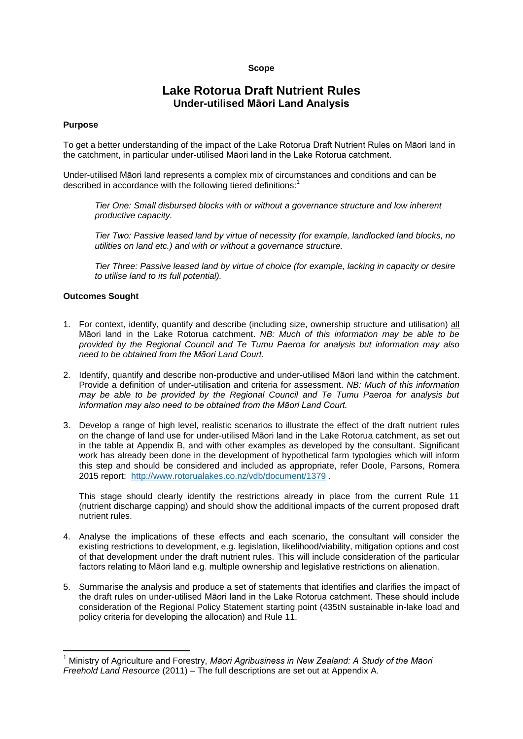### **Scope**

# **Lake Rotorua Draft Nutrient Rules Under-utilised Māori Land Analysis**

#### **Purpose**

To get a better understanding of the impact of the Lake Rotorua Draft Nutrient Rules on Māori land in the catchment, in particular under-utilised Māori land in the Lake Rotorua catchment.

Under-utilised Māori land represents a complex mix of circumstances and conditions and can be described in accordance with the following tiered definitions:<sup>1</sup>

*Tier One: Small disbursed blocks with or without a governance structure and low inherent productive capacity.* 

*Tier Two: Passive leased land by virtue of necessity (for example, landlocked land blocks, no utilities on land etc.) and with or without a governance structure.*

*Tier Three: Passive leased land by virtue of choice (for example, lacking in capacity or desire to utilise land to its full potential).*

#### **Outcomes Sought**

**.** 

- 1. For context, identify, quantify and describe (including size, ownership structure and utilisation) all Māori land in the Lake Rotorua catchment. *NB: Much of this information may be able to be provided by the Regional Council and Te Tumu Paeroa for analysis but information may also need to be obtained from the Māori Land Court.*
- 2. Identify, quantify and describe non-productive and under-utilised Māori land within the catchment. Provide a definition of under-utilisation and criteria for assessment. *NB: Much of this information may be able to be provided by the Regional Council and Te Tumu Paeroa for analysis but information may also need to be obtained from the Māori Land Court.*
- 3. Develop a range of high level, realistic scenarios to illustrate the effect of the draft nutrient rules on the change of land use for under-utilised Māori land in the Lake Rotorua catchment, as set out in the table at Appendix B, and with other examples as developed by the consultant. Significant work has already been done in the development of hypothetical farm typologies which will inform this step and should be considered and included as appropriate, refer Doole, Parsons, Romera 2015 report: <http://www.rotorualakes.co.nz/vdb/document/1379> .

This stage should clearly identify the restrictions already in place from the current Rule 11 (nutrient discharge capping) and should show the additional impacts of the current proposed draft nutrient rules.

- 4. Analyse the implications of these effects and each scenario, the consultant will consider the existing restrictions to development, e.g. legislation, likelihood/viability, mitigation options and cost of that development under the draft nutrient rules. This will include consideration of the particular factors relating to Māori land e.g. multiple ownership and legislative restrictions on alienation.
- 5. Summarise the analysis and produce a set of statements that identifies and clarifies the impact of the draft rules on under-utilised Māori land in the Lake Rotorua catchment. These should include consideration of the Regional Policy Statement starting point (435tN sustainable in-lake load and policy criteria for developing the allocation) and Rule 11.

<sup>1</sup> Ministry of Agriculture and Forestry, *Māori Agribusiness in New Zealand: A Study of the Māori Freehold Land Resource* (2011) – The full descriptions are set out at Appendix A.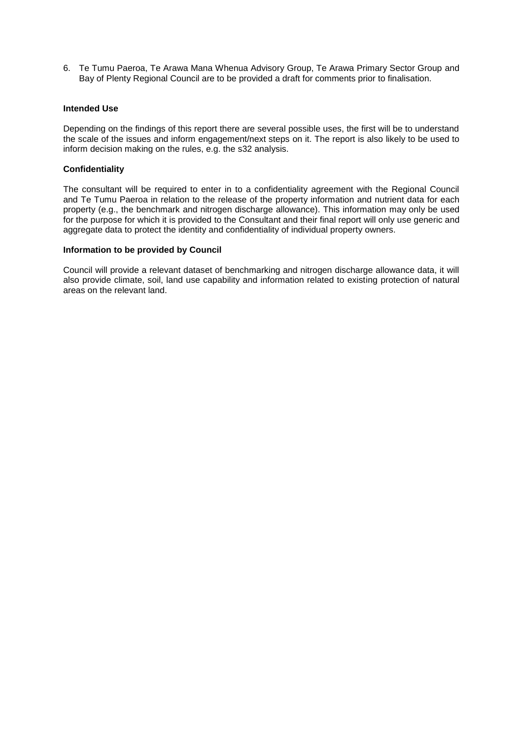6. Te Tumu Paeroa, Te Arawa Mana Whenua Advisory Group, Te Arawa Primary Sector Group and Bay of Plenty Regional Council are to be provided a draft for comments prior to finalisation.

#### **Intended Use**

Depending on the findings of this report there are several possible uses, the first will be to understand the scale of the issues and inform engagement/next steps on it. The report is also likely to be used to inform decision making on the rules, e.g. the s32 analysis.

#### **Confidentiality**

The consultant will be required to enter in to a confidentiality agreement with the Regional Council and Te Tumu Paeroa in relation to the release of the property information and nutrient data for each property (e.g., the benchmark and nitrogen discharge allowance). This information may only be used for the purpose for which it is provided to the Consultant and their final report will only use generic and aggregate data to protect the identity and confidentiality of individual property owners.

#### **Information to be provided by Council**

Council will provide a relevant dataset of benchmarking and nitrogen discharge allowance data, it will also provide climate, soil, land use capability and information related to existing protection of natural areas on the relevant land.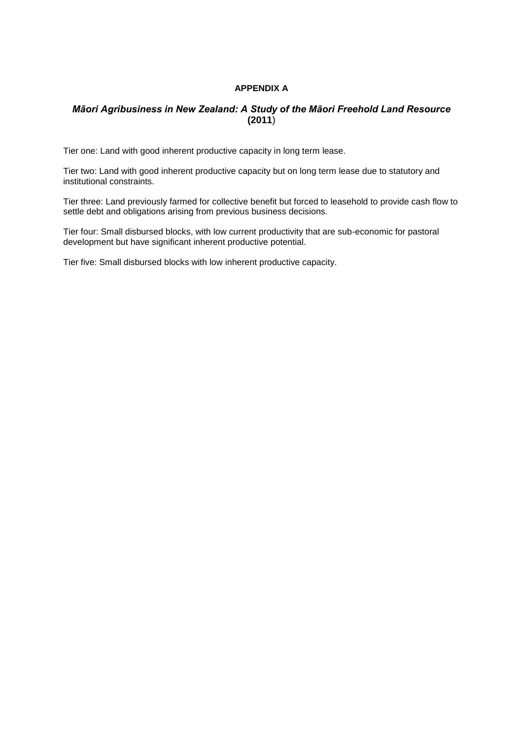### **APPENDIX A**

## *Māori Agribusiness in New Zealand: A Study of the Māori Freehold Land Resource* **(2011**)

Tier one: Land with good inherent productive capacity in long term lease.

Tier two: Land with good inherent productive capacity but on long term lease due to statutory and institutional constraints.

Tier three: Land previously farmed for collective benefit but forced to leasehold to provide cash flow to settle debt and obligations arising from previous business decisions.

Tier four: Small disbursed blocks, with low current productivity that are sub-economic for pastoral development but have significant inherent productive potential.

Tier five: Small disbursed blocks with low inherent productive capacity.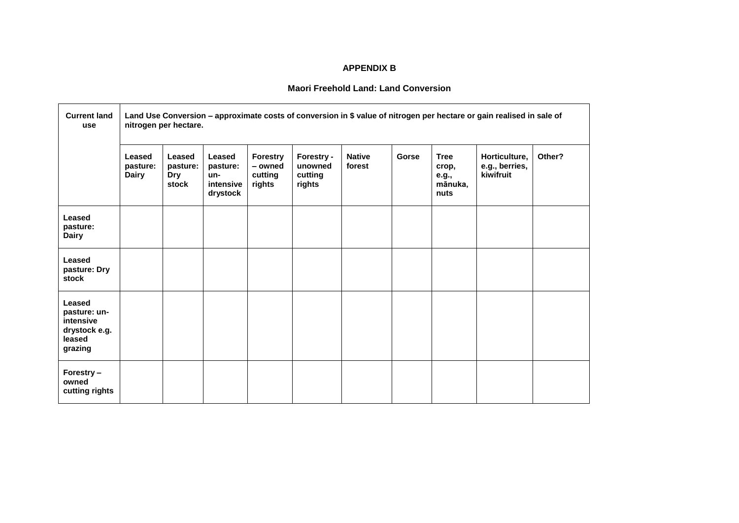## **APPENDIX B**

## **Maori Freehold Land: Land Conversion**

| <b>Current land</b><br>use                                                | Land Use Conversion - approximate costs of conversion in \$ value of nitrogen per hectare or gain realised in sale of<br>nitrogen per hectare. |                                    |                                                    |                                                 |                                            |                         |       |                                                  |                                              |        |
|---------------------------------------------------------------------------|------------------------------------------------------------------------------------------------------------------------------------------------|------------------------------------|----------------------------------------------------|-------------------------------------------------|--------------------------------------------|-------------------------|-------|--------------------------------------------------|----------------------------------------------|--------|
|                                                                           | Leased<br>pasture:<br><b>Dairy</b>                                                                                                             | Leased<br>pasture:<br>Dry<br>stock | Leased<br>pasture:<br>un-<br>intensive<br>drystock | <b>Forestry</b><br>- owned<br>cutting<br>rights | Forestry -<br>unowned<br>cutting<br>rights | <b>Native</b><br>forest | Gorse | <b>Tree</b><br>crop,<br>e.g.,<br>mānuka,<br>nuts | Horticulture,<br>e.g., berries,<br>kiwifruit | Other? |
| Leased<br>pasture:<br><b>Dairy</b>                                        |                                                                                                                                                |                                    |                                                    |                                                 |                                            |                         |       |                                                  |                                              |        |
| Leased<br>pasture: Dry<br>stock                                           |                                                                                                                                                |                                    |                                                    |                                                 |                                            |                         |       |                                                  |                                              |        |
| Leased<br>pasture: un-<br>intensive<br>drystock e.g.<br>leased<br>grazing |                                                                                                                                                |                                    |                                                    |                                                 |                                            |                         |       |                                                  |                                              |        |
| Forestry-<br>owned<br>cutting rights                                      |                                                                                                                                                |                                    |                                                    |                                                 |                                            |                         |       |                                                  |                                              |        |

 $\blacksquare$